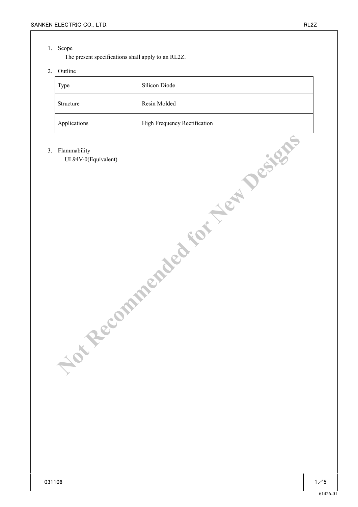## 1. Scope

The present specifications shall apply to an RL2Z.

# 2. Outline

| Type         | Silicon Diode                |
|--------------|------------------------------|
| Structure    | Resin Molded                 |
| Applications | High Frequency Rectification |

#### 3. Flammability

UL94V-0(Equivalent) **Planmability**<br>ULAR-OE RECOMMENDED for New Yesters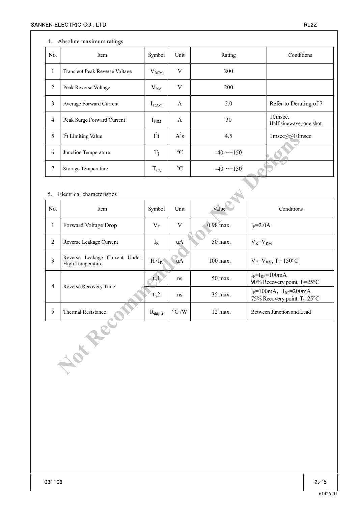### 4. Absolute maximum ratings

| No.            | Item                                  | Symbol           | Unit            | Rating          | Conditions                         |
|----------------|---------------------------------------|------------------|-----------------|-----------------|------------------------------------|
| $\mathbf{I}$   | <b>Transient Peak Reverse Voltage</b> | $V_{\rm RSM}$    | V               | <b>200</b>      |                                    |
| $\overline{2}$ | Peak Reverse Voltage                  | $V_{RM}$         | V               | <b>200</b>      |                                    |
| 3              | Average Forward Current               | $I_{F(AV)}$      | A               | 2.0             | Refer to Derating of 7             |
| $\overline{4}$ | Peak Surge Forward Current            | $I_{FSM}$        | A               | 30              | 10msec.<br>Half sinewave, one shot |
| 5              | $I2t$ Limiting Value                  | $I^2t$           | $A^2s$          | 4.5             | 1msec≤t≤10msec                     |
| 6              | Junction Temperature                  | $T_i$            | $\rm ^{\circ}C$ | $-40 \sim +150$ |                                    |
| 7              | Storage Temperature                   | $T_{\text{stg}}$ | $\rm ^{\circ}C$ | $-40 \sim +150$ |                                    |

#### 5. Electrical characteristics

| 5                                            | 1 <sup>2</sup> t Limiting Value                   | $l^{\text{-}}t$  | $A^2s$             | 4.5         | $1$ msec $\leq t \leq 10$ msec                                        |  |  |
|----------------------------------------------|---------------------------------------------------|------------------|--------------------|-------------|-----------------------------------------------------------------------|--|--|
| 6                                            | Junction Temperature                              |                  | $\rm ^{\circ}C$    | $-40$ ~+150 |                                                                       |  |  |
| $\overline{7}$                               | Storage Temperature                               | $T_{\text{stg}}$ | $\rm ^{\circ}C$    | $-40$ ~+150 |                                                                       |  |  |
| Electrical characteristics<br>5 <sub>1</sub> |                                                   |                  |                    |             |                                                                       |  |  |
| No.                                          | Item                                              | Symbol           | Unit               | Value       | Conditions                                                            |  |  |
| $\mathbf{1}$                                 | Forward Voltage Drop                              | $V_{F}$          | $\mathbf V$        | 0.98 max.   | $I_F = 2.0A$                                                          |  |  |
| $\overline{2}$                               | Reverse Leakage Current                           | $I_R$            | uA                 | 50 max.     | $V_R = V_{RM}$                                                        |  |  |
| $\overline{3}$                               | Reverse Leakage Current Under<br>High Temperature | $H \cdot I_R$    | <b>uA</b>          | 100 max.    | $V_R = V_{RM}$ , T <sub>j</sub> =150°C                                |  |  |
| $\overline{4}$                               | Reverse Recovery Time                             | $t_{\rm r}$      | ns                 | 50 max.     | $I_F = I_{RP} = 100mA$<br>90% Recovery point, $T_i = 25$ °C           |  |  |
|                                              |                                                   | $t_{rr}2$        | ns                 | 35 max.     | $I_F = 100mA$ , $I_{RP} = 200mA$<br>75% Recovery point, $T_i = 25$ °C |  |  |
| 5                                            | Thermal Resistance                                | $R_{th(j-l)}$    | $\rm ^{\circ}C$ /W | 12 max.     | Between Junction and Lead                                             |  |  |
|                                              | Joseph                                            |                  |                    |             |                                                                       |  |  |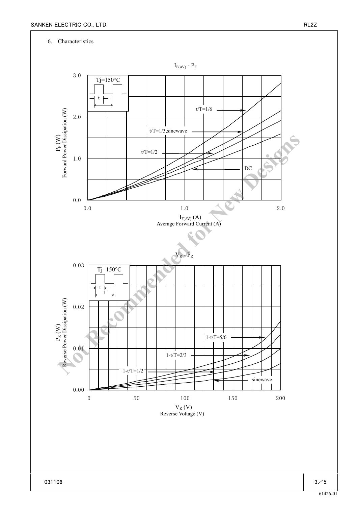### 6. Characteristics

 $\Pr_{\text{Forward Power Disipation (W)}}$  Forward Power Dissipation (W) Forward Power Dissipation (W)



 $\Pr_{\mathbb{R}}\left(\mathbb{W}\right)$ Reverse Power Dissipation (W)

0.00

0.01

0.02

0.03

0.0

1.0

2.0

3.0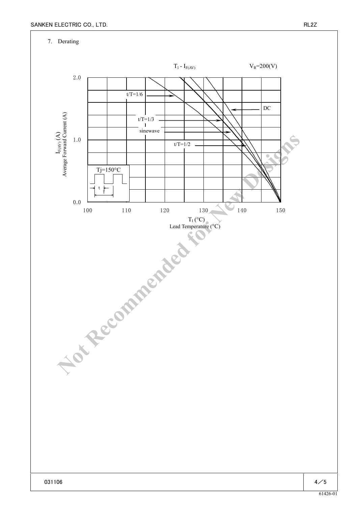